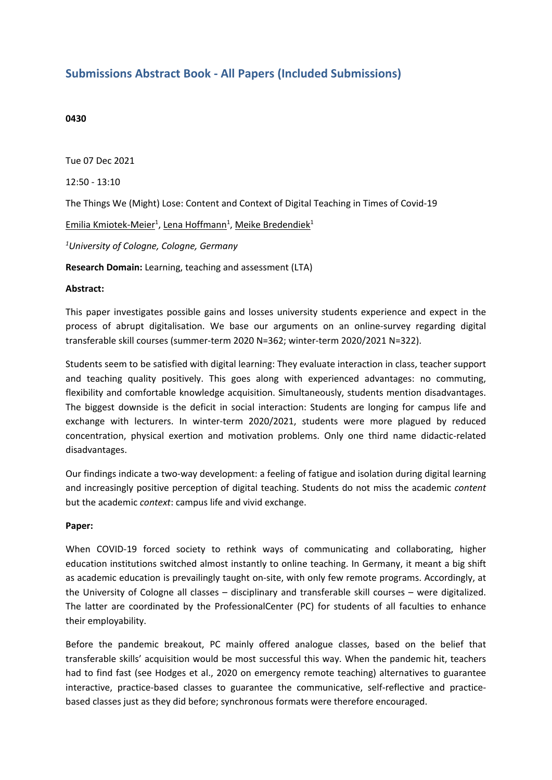## **Submissions Abstract Book - All Papers (Included Submissions)**

## **0430**

Tue 07 Dec 2021 12:50 - 13:10 The Things We (Might) Lose: Content and Context of Digital Teaching in Times of Covid-19 Emilia Kmiotek-Meier<sup>1</sup>, Lena Hoffmann<sup>1</sup>, Meike Bredendiek<sup>1</sup> *1 University of Cologne, Cologne, Germany* **Research Domain:** Learning, teaching and assessment (LTA)

## **Abstract:**

This paper investigates possible gains and losses university students experience and expect in the process of abrupt digitalisation. We base our arguments on an online-survey regarding digital transferable skill courses (summer-term 2020 N=362; winter-term 2020/2021 N=322).

Students seem to be satisfied with digital learning: They evaluate interaction in class, teacher support and teaching quality positively. This goes along with experienced advantages: no commuting, flexibility and comfortable knowledge acquisition. Simultaneously, students mention disadvantages. The biggest downside is the deficit in social interaction: Students are longing for campus life and exchange with lecturers. In winter-term 2020/2021, students were more plagued by reduced concentration, physical exertion and motivation problems. Only one third name didactic-related disadvantages.

Our findings indicate <sup>a</sup> two-way development: <sup>a</sup> feeling of fatigue and isolation during digital learning and increasingly positive perception of digital teaching. Students do not miss the academic *content* but the academic *context*: campus life and vivid exchange.

## **Paper:**

When COVID-19 forced society to rethink ways of communicating and collaborating, higher education institutions switched almost instantly to online teaching. In Germany, it meant <sup>a</sup> big shift as academic education is prevailingly taught on-site, with only few remote programs. Accordingly, at the University of Cologne all classes – disciplinary and transferable skill courses – were digitalized. The latter are coordinated by the ProfessionalCenter (PC) for students of all faculties to enhance their employability.

Before the pandemic breakout, PC mainly offered analogue classes, based on the belief that transferable skills' acquisition would be most successful this way. When the pandemic hit, teachers had to find fast (see Hodges et al., 2020 on emergency remote teaching) alternatives to guarantee interactive, practice-based classes to guarantee the communicative, self-reflective and practicebased classes just as they did before; synchronous formats were therefore encouraged.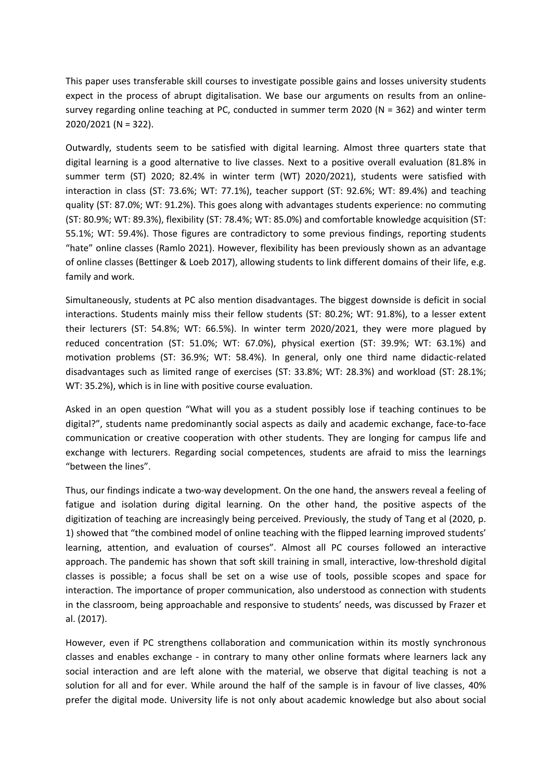This paper uses transferable skill courses to investigate possible gains and losses university students expect in the process of abrupt digitalisation. We base our arguments on results from an onlinesurvey regarding online teaching at PC, conducted in summer term 2020 (N <sup>=</sup> 362) and winter term 2020/2021 (N <sup>=</sup> 322).

Outwardly, students seem to be satisfied with digital learning. Almost three quarters state that digital learning is <sup>a</sup> good alternative to live classes. Next to <sup>a</sup> positive overall evaluation (81.8% in summer term (ST) 2020; 82.4% in winter term (WT) 2020/2021), students were satisfied with interaction in class (ST: 73.6%; WT: 77.1%), teacher support (ST: 92.6%; WT: 89.4%) and teaching quality (ST: 87.0%; WT: 91.2%). This goes along with advantages students experience: no commuting (ST: 80.9%; WT: 89.3%), flexibility (ST: 78.4%; WT: 85.0%) and comfortable knowledge acquisition (ST: 55.1%; WT: 59.4%). Those figures are contradictory to some previous findings, reporting students "hate" online classes (Ramlo 2021). However, flexibility has been previously shown as an advantage of online classes (Bettinger & Loeb 2017), allowing students to link different domains of their life, e.g. family and work.

Simultaneously, students at PC also mention disadvantages. The biggest downside is deficit in social interactions. Students mainly miss their fellow students (ST: 80.2%; WT: 91.8%), to <sup>a</sup> lesser extent their lecturers (ST: 54.8%; WT: 66.5%). In winter term 2020/2021, they were more plagued by reduced concentration (ST: 51.0%; WT: 67.0%), physical exertion (ST: 39.9%; WT: 63.1%) and motivation problems (ST: 36.9%; WT: 58.4%). In general, only one third name didactic-related disadvantages such as limited range of exercises (ST: 33.8%; WT: 28.3%) and workload (ST: 28.1%; WT: 35.2%), which is in line with positive course evaluation.

Asked in an open question "What will you as <sup>a</sup> student possibly lose if teaching continues to be digital?", students name predominantly social aspects as daily and academic exchange, face-to-face communication or creative cooperation with other students. They are longing for campus life and exchange with lecturers. Regarding social competences, students are afraid to miss the learnings "between the lines".

Thus, our findings indicate <sup>a</sup> two-way development. On the one hand, the answers reveal <sup>a</sup> feeling of fatigue and isolation during digital learning. On the other hand, the positive aspects of the digitization of teaching are increasingly being perceived. Previously, the study of Tang et al (2020, p. 1) showed that "the combined model of online teaching with the flipped learning improved students' learning, attention, and evaluation of courses". Almost all PC courses followed an interactive approach. The pandemic has shown that soft skill training in small, interactive, low-threshold digital classes is possible; <sup>a</sup> focus shall be set on <sup>a</sup> wise use of tools, possible scopes and space for interaction. The importance of proper communication, also understood as connection with students in the classroom, being approachable and responsive to students' needs, was discussed by Frazer et al. (2017).

However, even if PC strengthens collaboration and communication within its mostly synchronous classes and enables exchange - in contrary to many other online formats where learners lack any social interaction and are left alone with the material, we observe that digital teaching is not <sup>a</sup> solution for all and for ever. While around the half of the sample is in favour of live classes, 40% prefer the digital mode. University life is not only about academic knowledge but also about social